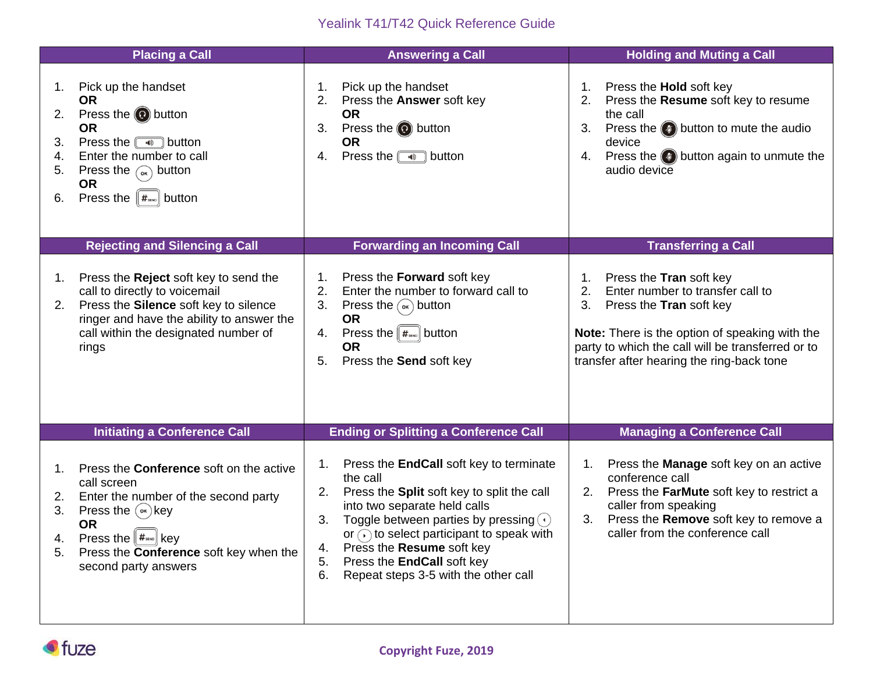## Yealink T41/T42 Quick Reference Guide

|                                  | <b>Placing a Call</b>                                                                                                                                                                                                                                                                   | <b>Answering a Call</b>                                                                                                                                                                                                                                                                                                                                                                      | <b>Holding and Muting a Call</b>                                                                                                                                                                                                                                         |
|----------------------------------|-----------------------------------------------------------------------------------------------------------------------------------------------------------------------------------------------------------------------------------------------------------------------------------------|----------------------------------------------------------------------------------------------------------------------------------------------------------------------------------------------------------------------------------------------------------------------------------------------------------------------------------------------------------------------------------------------|--------------------------------------------------------------------------------------------------------------------------------------------------------------------------------------------------------------------------------------------------------------------------|
| 1.<br>2.<br>3.<br>4.<br>5.<br>6. | Pick up the handset<br><b>OR</b><br>Press the $\odot$ button<br><b>OR</b><br>Press the $\Box$ button<br>Enter the number to call<br>Press the $_{\infty}$ button<br><b>OR</b><br>Press the $\ \#_{\text{max}}\ $ button                                                                 | Pick up the handset<br>$\mathbf 1$ .<br>2.<br>Press the Answer soft key<br><b>OR</b><br>Press the $\odot$ button<br>3.<br><b>OR</b><br>Press the $\Box$ button<br>4.                                                                                                                                                                                                                         | Press the <b>Hold</b> soft key<br>1.<br>2.<br>Press the Resume soft key to resume<br>the call<br>Press the $(4)$ button to mute the audio<br>3.<br>device<br>Press the $\left( \bullet \right)$ button again to unmute the<br>4.<br>audio device                         |
|                                  | <b>Rejecting and Silencing a Call</b>                                                                                                                                                                                                                                                   | <b>Forwarding an Incoming Call</b>                                                                                                                                                                                                                                                                                                                                                           | <b>Transferring a Call</b>                                                                                                                                                                                                                                               |
| 1.<br>2.                         | Press the Reject soft key to send the<br>call to directly to voicemail<br>Press the Silence soft key to silence<br>ringer and have the ability to answer the<br>call within the designated number of<br>rings                                                                           | Press the Forward soft key<br>1 <sub>1</sub><br>2.<br>Enter the number to forward call to<br>3.<br>Press the $(\alpha)$ button<br><b>OR</b><br>Press the $  \#_{\text{sm}}  $ button<br>4.<br><b>OR</b><br>Press the Send soft key<br>5.                                                                                                                                                     | Press the Tran soft key<br>1 <sub>1</sub><br>2.<br>Enter number to transfer call to<br>3.<br>Press the Tran soft key<br>Note: There is the option of speaking with the<br>party to which the call will be transferred or to<br>transfer after hearing the ring-back tone |
|                                  | <b>Initiating a Conference Call</b>                                                                                                                                                                                                                                                     | <b>Ending or Splitting a Conference Call</b>                                                                                                                                                                                                                                                                                                                                                 | <b>Managing a Conference Call</b>                                                                                                                                                                                                                                        |
| 1.<br>2.<br>3.<br>4.<br>5.       | Press the <b>Conference</b> soft on the active<br>call screen<br>Enter the number of the second party<br>Press the $(\infty)$ key<br><b>OR</b><br>Press the $\left[\overline{H}_{\text{\tiny SMO}}\right]$ key<br>Press the <b>Conference</b> soft key when the<br>second party answers | Press the <b>EndCall</b> soft key to terminate<br>1.<br>the call<br>Press the Split soft key to split the call<br>2.<br>into two separate held calls<br>3.<br>Toggle between parties by pressing $\left(\cdot\right)$<br>or $\odot$ to select participant to speak with<br>Press the Resume soft key<br>4.<br>Press the EndCall soft key<br>5.<br>Repeat steps 3-5 with the other call<br>6. | Press the Manage soft key on an active<br>1.<br>conference call<br>Press the FarMute soft key to restrict a<br>2.<br>caller from speaking<br>Press the Remove soft key to remove a<br>3.<br>caller from the conference call                                              |